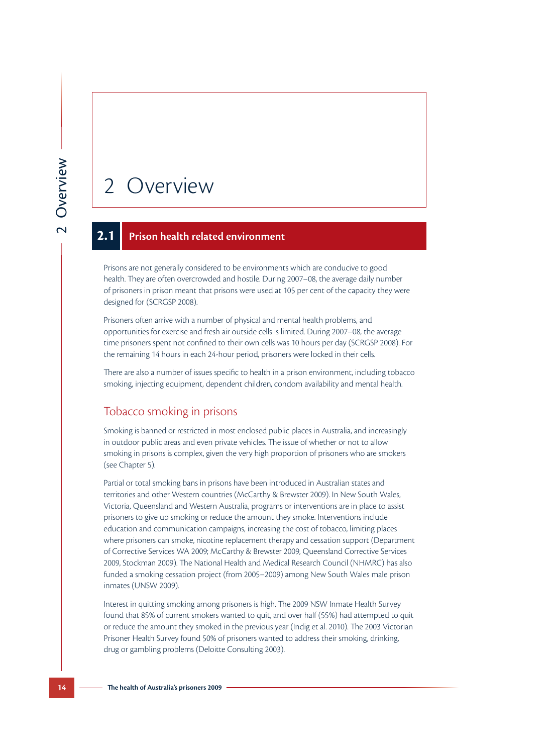# 2 Overview

#### **2.1 Prison health related environment**

Prisons are not generally considered to be environments which are conducive to good health. They are often overcrowded and hostile. During 2007–08, the average daily number of prisoners in prison meant that prisons were used at 105 per cent of the capacity they were designed for (SCRGSP 2008).

Prisoners often arrive with a number of physical and mental health problems, and opportunities for exercise and fresh air outside cells is limited. During 2007–08, the average time prisoners spent not confined to their own cells was 10 hours per day (SCRGSP 2008). For the remaining 14 hours in each 24-hour period, prisoners were locked in their cells.

There are also a number of issues specific to health in a prison environment, including tobacco smoking, injecting equipment, dependent children, condom availability and mental health.

#### Tobacco smoking in prisons

Smoking is banned or restricted in most enclosed public places in Australia, and increasingly in outdoor public areas and even private vehicles. The issue of whether or not to allow smoking in prisons is complex, given the very high proportion of prisoners who are smokers (see Chapter 5).

Partial or total smoking bans in prisons have been introduced in Australian states and territories and other Western countries (McCarthy & Brewster 2009). In New South Wales, Victoria, Queensland and Western Australia, programs or interventions are in place to assist prisoners to give up smoking or reduce the amount they smoke. Interventions include education and communication campaigns, increasing the cost of tobacco, limiting places where prisoners can smoke, nicotine replacement therapy and cessation support (Department of Corrective Services WA 2009; McCarthy & Brewster 2009, Queensland Corrective Services 2009, Stockman 2009). The National Health and Medical Research Council (NHMRC) has also funded a smoking cessation project (from 2005–2009) among New South Wales male prison inmates (UNSW 2009).

Interest in quitting smoking among prisoners is high. The 2009 NSW Inmate Health Survey found that 85% of current smokers wanted to quit, and over half (55%) had attempted to quit or reduce the amount they smoked in the previous year (Indig et al. 2010). The 2003 Victorian Prisoner Health Survey found 50% of prisoners wanted to address their smoking, drinking, drug or gambling problems (Deloitte Consulting 2003).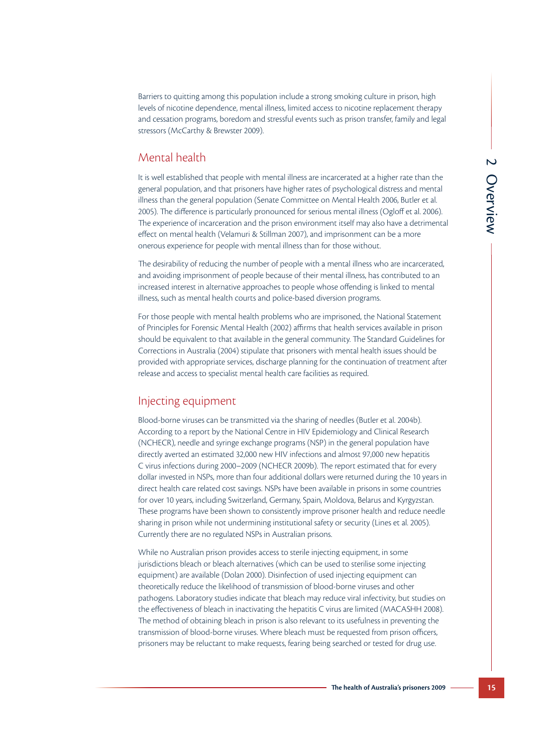Barriers to quitting among this population include a strong smoking culture in prison, high levels of nicotine dependence, mental illness, limited access to nicotine replacement therapy and cessation programs, boredom and stressful events such as prison transfer, family and legal stressors (McCarthy & Brewster 2009).

## Mental health

It is well established that people with mental illness are incarcerated at a higher rate than the general population, and that prisoners have higher rates of psychological distress and mental illness than the general population (Senate Committee on Mental Health 2006, Butler et al. 2005). The difference is particularly pronounced for serious mental illness (Ogloff et al. 2006). The experience of incarceration and the prison environment itself may also have a detrimental effect on mental health (Velamuri & Stillman 2007), and imprisonment can be a more onerous experience for people with mental illness than for those without.

The desirability of reducing the number of people with a mental illness who are incarcerated, and avoiding imprisonment of people because of their mental illness, has contributed to an increased interest in alternative approaches to people whose offending is linked to mental illness, such as mental health courts and police-based diversion programs.

For those people with mental health problems who are imprisoned, the National Statement of Principles for Forensic Mental Health (2002) affirms that health services available in prison should be equivalent to that available in the general community. The Standard Guidelines for Corrections in Australia (2004) stipulate that prisoners with mental health issues should be provided with appropriate services, discharge planning for the continuation of treatment after release and access to specialist mental health care facilities as required.

## Injecting equipment

Blood-borne viruses can be transmitted via the sharing of needles (Butler et al. 2004b). According to a report by the National Centre in HIV Epidemiology and Clinical Research (NCHECR), needle and syringe exchange programs (NSP) in the general population have directly averted an estimated 32,000 new HIV infections and almost 97,000 new hepatitis C virus infections during 2000–2009 (NCHECR 2009b). The report estimated that for every dollar invested in NSPs, more than four additional dollars were returned during the 10 years in direct health care related cost savings. NSPs have been available in prisons in some countries for over 10 years, including Switzerland, Germany, Spain, Moldova, Belarus and Kyrgyzstan. These programs have been shown to consistently improve prisoner health and reduce needle sharing in prison while not undermining institutional safety or security (Lines et al. 2005). Currently there are no regulated NSPs in Australian prisons.

While no Australian prison provides access to sterile injecting equipment, in some jurisdictions bleach or bleach alternatives (which can be used to sterilise some injecting equipment) are available (Dolan 2000). Disinfection of used injecting equipment can theoretically reduce the likelihood of transmission of blood-borne viruses and other pathogens. Laboratory studies indicate that bleach may reduce viral infectivity, but studies on the effectiveness of bleach in inactivating the hepatitis C virus are limited (MACASHH 2008). The method of obtaining bleach in prison is also relevant to its usefulness in preventing the transmission of blood-borne viruses. Where bleach must be requested from prison officers, prisoners may be reluctant to make requests, fearing being searched or tested for drug use.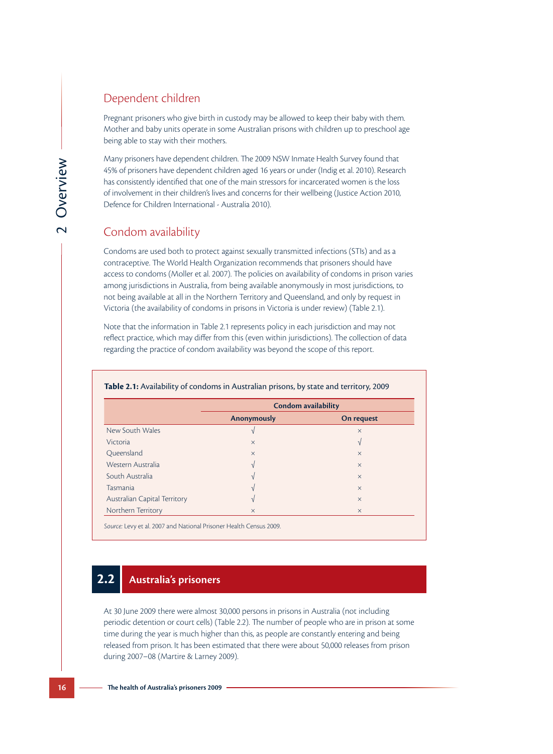#### Dependent children

Pregnant prisoners who give birth in custody may be allowed to keep their baby with them. Mother and baby units operate in some Australian prisons with children up to preschool age being able to stay with their mothers.

Many prisoners have dependent children. The 2009 NSW Inmate Health Survey found that 45% of prisoners have dependent children aged 16 years or under (Indig et al. 2010). Research has consistently identified that one of the main stressors for incarcerated women is the loss of involvement in their children's lives and concerns for their wellbeing (Justice Action 2010, Defence for Children International - Australia 2010).

### Condom availability

Condoms are used both to protect against sexually transmitted infections (STIs) and as a contraceptive. The World Health Organization recommends that prisoners should have access to condoms (Moller et al. 2007). The policies on availability of condoms in prison varies among jurisdictions in Australia, from being available anonymously in most jurisdictions, to not being available at all in the Northern Territory and Queensland, and only by request in Victoria (the availability of condoms in prisons in Victoria is under review) (Table 2.1).

Note that the information in Table 2.1 represents policy in each jurisdiction and may not reflect practice, which may differ from this (even within jurisdictions). The collection of data regarding the practice of condom availability was beyond the scope of this report.

|                              | <b>Condom availability</b> |            |
|------------------------------|----------------------------|------------|
|                              | <b>Anonymously</b>         | On request |
| New South Wales              |                            | $\times$   |
| <b>Victoria</b>              | $\times$                   | V          |
| Queensland                   | $\times$                   | $\times$   |
| Western Australia            | V                          | $\times$   |
| South Australia              |                            | $\times$   |
| <b>Tasmania</b>              |                            | $\times$   |
| Australian Capital Territory |                            | $\times$   |
| Northern Territory           | $\times$                   | $\times$   |

#### **Table 2.1:** Availability of condoms in Australian prisons, by state and territory, 2009

# **2.2 Australia's prisoners**

At 30 June 2009 there were almost 30,000 persons in prisons in Australia (not including periodic detention or court cells) (Table 2.2). The number of people who are in prison at some time during the year is much higher than this, as people are constantly entering and being released from prison. It has been estimated that there were about 50,000 releases from prison during 2007–08 (Martire & Larney 2009).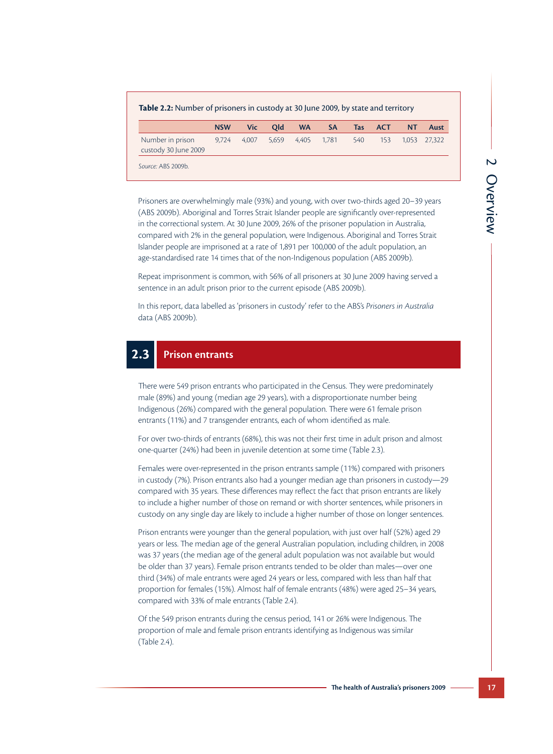|                                          | <b>NSW</b> | <b>Vic</b> | Old   | <b>WA</b> | <b>SA</b> | Tas | <b>ACT</b> | NΤ | Aust         |
|------------------------------------------|------------|------------|-------|-----------|-----------|-----|------------|----|--------------|
| Number in prison<br>custody 30 June 2009 | 9.724      | 4.007      | 5.659 | 4.405     | 1.781     | 540 | 153        |    | 1.053 27.322 |

Prisoners are overwhelmingly male (93%) and young, with over two-thirds aged 20–39 years (ABS 2009b). Aboriginal and Torres Strait Islander people are significantly over-represented in the correctional system. At 30 June 2009, 26% of the prisoner population in Australia, compared with 2% in the general population, were Indigenous. Aboriginal and Torres Strait Islander people are imprisoned at a rate of 1,891 per 100,000 of the adult population, an age-standardised rate 14 times that of the non-Indigenous population (ABS 2009b).

Repeat imprisonment is common, with 56% of all prisoners at 30 June 2009 having served a sentence in an adult prison prior to the current episode (ABS 2009b).

In this report, data labelled as 'prisoners in custody' refer to the ABS's *Prisoners in Australia* data (ABS 2009b).

# **2.3 Prison entrants**

There were 549 prison entrants who participated in the Census. They were predominately male (89%) and young (median age 29 years), with a disproportionate number being Indigenous (26%) compared with the general population. There were 61 female prison entrants (11%) and 7 transgender entrants, each of whom identified as male.

For over two-thirds of entrants (68%), this was not their first time in adult prison and almost one-quarter (24%) had been in juvenile detention at some time (Table 2.3).

Females were over-represented in the prison entrants sample (11%) compared with prisoners in custody (7%). Prison entrants also had a younger median age than prisoners in custody—29 compared with 35 years. These differences may reflect the fact that prison entrants are likely to include a higher number of those on remand or with shorter sentences, while prisoners in custody on any single day are likely to include a higher number of those on longer sentences.

Prison entrants were younger than the general population, with just over half (52%) aged 29 years or less. The median age of the general Australian population, including children, in 2008 was 37 years (the median age of the general adult population was not available but would be older than 37 years). Female prison entrants tended to be older than males—over one third (34%) of male entrants were aged 24 years or less, compared with less than half that proportion for females (15%). Almost half of female entrants (48%) were aged 25–34 years, compared with 33% of male entrants (Table 2.4).

Of the 549 prison entrants during the census period, 141 or 26% were Indigenous. The proportion of male and female prison entrants identifying as Indigenous was similar (Table 2.4).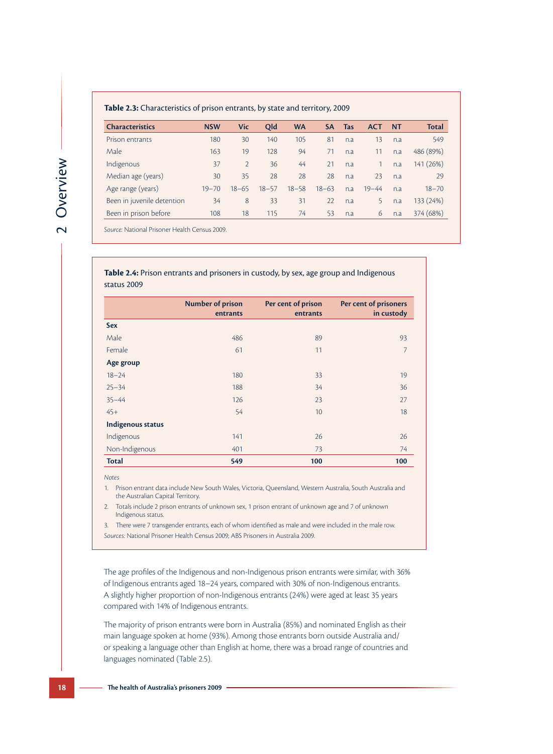#### **Table 2.3:** Characteristics of prison entrants, by state and territory, 2009

| <b>Characteristics</b>     | <b>NSW</b> | <b>Vic</b>     | <b>Old</b> | <b>WA</b> | SΑ        | Tas | <b>ACT</b> | NT  | Total     |
|----------------------------|------------|----------------|------------|-----------|-----------|-----|------------|-----|-----------|
| Prison entrants            | 180        | 30             | 140        | 105       | 81        | n.a | 13         | n.a | 549       |
| Male                       | 163        | 19             | 128        | 94        | 71        | n.a | 11         | n.a | 486 (89%) |
| Indigenous                 | 37         | $\overline{2}$ | 36         | 44        | 21        | n.a |            | n.a | 141 (26%) |
| Median age (years)         | 30         | 35             | 28         | 28        | 28        | n.a | 23         | n.a | 29        |
| Age range (years)          | $19 - 70$  | $18 - 65$      | $18 - 57$  | $18 - 58$ | $18 - 63$ | n.a | $19 - 44$  | n.a | $18 - 70$ |
| Been in juvenile detention | 34         | 8              | 33         | 31        | 22        | n.a | 5          | n.a | 133 (24%) |
| Been in prison before      | 108        | 18             | 115        | 74        | 53        | n.a | 6          | n.a | 374 (68%) |
|                            |            |                |            |           |           |     |            |     |           |

*Source:* National Prisoner Health Census 2009.

**Table 2.4:** Prison entrants and prisoners in custody, by sex, age group and Indigenous status 2009

|                          | <b>Number of prison</b><br>entrants | Per cent of prison<br>entrants | Per cent of prisoners<br>in custody |
|--------------------------|-------------------------------------|--------------------------------|-------------------------------------|
| <b>Sex</b>               |                                     |                                |                                     |
| Male                     | 486                                 | 89                             | 93                                  |
| Female                   | 61                                  | 11                             | 7                                   |
| Age group                |                                     |                                |                                     |
| $18 - 24$                | 180                                 | 33                             | 19                                  |
| $25 - 34$                | 188                                 | 34                             | 36                                  |
| $35 - 44$                | 126                                 | 23                             | 27                                  |
| $45+$                    | 54                                  | 10 <sup>°</sup>                | 18                                  |
| <b>Indigenous status</b> |                                     |                                |                                     |
| Indigenous               | 141                                 | 26                             | 26                                  |
| Non-Indigenous           | 401                                 | 73                             | 74                                  |
| <b>Total</b>             | 549                                 | 100                            | 100                                 |

*Notes*

1. Prison entrant data include New South Wales, Victoria, Queensland, Western Australia, South Australia and the Australian Capital Territory.

2. Totals include 2 prison entrants of unknown sex, 1 prison entrant of unknown age and 7 of unknown Indigenous status.

3. There were 7 transgender entrants, each of whom identified as male and were included in the male row. *Sources:* National Prisoner Health Census 2009; ABS Prisoners in Australia 2009.

The age profiles of the Indigenous and non-Indigenous prison entrants were similar, with 36% of Indigenous entrants aged 18–24 years, compared with 30% of non-Indigenous entrants. A slightly higher proportion of non-Indigenous entrants (24%) were aged at least 35 years compared with 14% of Indigenous entrants.

The majority of prison entrants were born in Australia (85%) and nominated English as their main language spoken at home (93%). Among those entrants born outside Australia and/ or speaking a language other than English at home, there was a broad range of countries and languages nominated (Table 2.5).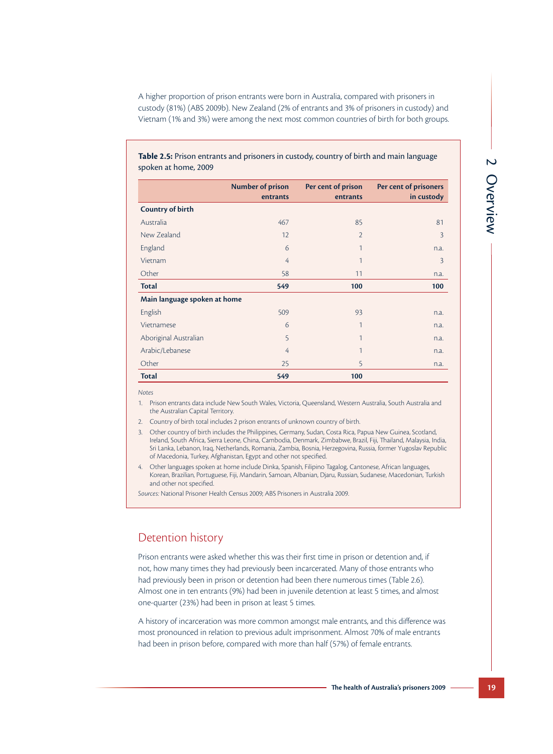A higher proportion of prison entrants were born in Australia, compared with prisoners in custody (81%) (ABS 2009b). New Zealand (2% of entrants and 3% of prisoners in custody) and Vietnam (1% and 3%) were among the next most common countries of birth for both groups.

**Table 2.5:** Prison entrants and prisoners in custody, country of birth and main language spoken at home, 2009

|                              | <b>Number of prison</b><br>entrants | Per cent of prison<br>entrants | Per cent of prisoners<br>in custody |
|------------------------------|-------------------------------------|--------------------------------|-------------------------------------|
| <b>Country of birth</b>      |                                     |                                |                                     |
| Australia                    | 467                                 | 85                             | 81                                  |
| New Zealand                  | 12                                  | $\overline{2}$                 | $\overline{3}$                      |
| England                      | 6                                   | 1                              | n.a.                                |
| Vietnam                      | $\overline{4}$                      | 1                              | 3                                   |
| Other                        | 58                                  | 11                             | n.a.                                |
| <b>Total</b>                 | 549                                 | 100                            | 100                                 |
| Main language spoken at home |                                     |                                |                                     |
| English                      | 509                                 | 93                             | n.a.                                |
| Vietnamese                   | 6                                   | 1                              | n.a.                                |
| Aboriginal Australian        | 5                                   | 1                              | n.a.                                |
| Arabic/Lebanese              | 4                                   | 1                              | n.a.                                |
| Other                        | 25                                  | 5                              | n.a.                                |
| <b>Total</b>                 | 549                                 | 100                            |                                     |

*Notes*

1. Prison entrants data include New South Wales, Victoria, Queensland, Western Australia, South Australia and the Australian Capital Territory.

2. Country of birth total includes 2 prison entrants of unknown country of birth.

3. Other country of birth includes the Philippines, Germany, Sudan, Costa Rica, Papua New Guinea, Scotland, Ireland, South Africa, Sierra Leone, China, Cambodia, Denmark, Zimbabwe, Brazil, Fiji, Thailand, Malaysia, India, Sri Lanka, Lebanon, Iraq, Netherlands, Romania, Zambia, Bosnia, Herzegovina, Russia, former Yugoslav Republic of Macedonia, Turkey, Afghanistan, Egypt and other not specified.

4. Other languages spoken at home include Dinka, Spanish, Filipino Tagalog, Cantonese, African languages, Korean, Brazilian, Portuguese, Fiji, Mandarin, Samoan, Albanian, Djaru, Russian, Sudanese, Macedonian, Turkish and other not specified.

*Sources:* National Prisoner Health Census 2009; ABS Prisoners in Australia 2009.

#### Detention history

Prison entrants were asked whether this was their first time in prison or detention and, if not, how many times they had previously been incarcerated. Many of those entrants who had previously been in prison or detention had been there numerous times (Table 2.6). Almost one in ten entrants (9%) had been in juvenile detention at least 5 times, and almost one-quarter (23%) had been in prison at least 5 times.

A history of incarceration was more common amongst male entrants, and this difference was most pronounced in relation to previous adult imprisonment. Almost 70% of male entrants had been in prison before, compared with more than half (57%) of female entrants.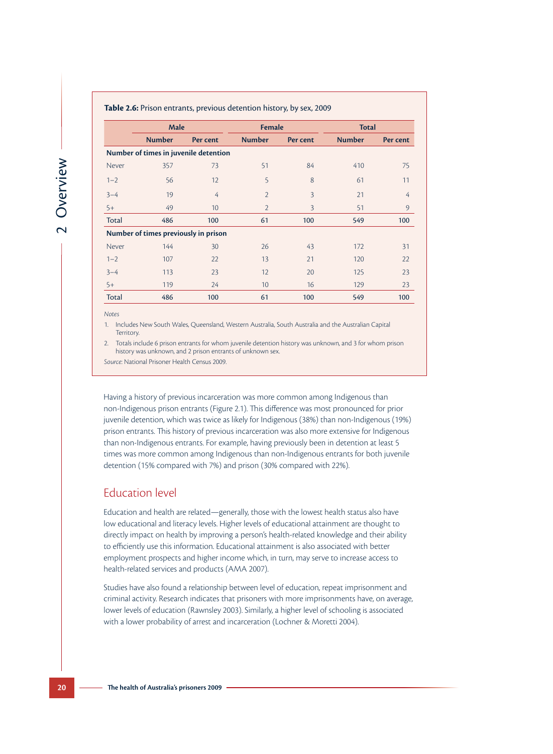| <b>Table 2.6:</b> Prison entrants, previous detention history, by sex, 2009 |                                       |                |                |                |               |          |  |  |  |
|-----------------------------------------------------------------------------|---------------------------------------|----------------|----------------|----------------|---------------|----------|--|--|--|
|                                                                             | <b>Male</b>                           |                | <b>Female</b>  |                | <b>Total</b>  |          |  |  |  |
|                                                                             | <b>Number</b>                         | Per cent       | <b>Number</b>  | Per cent       | <b>Number</b> | Per cent |  |  |  |
|                                                                             | Number of times in juvenile detention |                |                |                |               |          |  |  |  |
| Never                                                                       | 357                                   | 73             | 51             | 84             | 410           | 75       |  |  |  |
| $1 - 2$                                                                     | 56                                    | 12             | 5              | 8              | 61            | 11       |  |  |  |
| $3 - 4$                                                                     | 19                                    | $\overline{4}$ | $\overline{2}$ | 3              | 21            | 4        |  |  |  |
| $5+$                                                                        | 49                                    | 10             | $\overline{2}$ | $\overline{3}$ | 51            | 9        |  |  |  |
| Total                                                                       | 486                                   | 100            | 61             | 100            | 549           | 100      |  |  |  |
|                                                                             | Number of times previously in prison  |                |                |                |               |          |  |  |  |
| Never                                                                       | 144                                   | 30             | 26             | 43             | 172           | 31       |  |  |  |
| $1 - 2$                                                                     | 107                                   | 22             | 13             | 21             | 120           | 22       |  |  |  |
| $3 - 4$                                                                     | 113                                   | 23             | 12             | 20             | 125           | 23       |  |  |  |
| $5+$                                                                        | 119                                   | 24             | 10             | 16             | 129           | 23       |  |  |  |
| Total                                                                       | 486                                   | 100            | 61             | 100            | 549           | 100      |  |  |  |

**Table 2.6:** Prison entrants, previous detention history, by sex, 2009

*Notes*

1. Includes New South Wales, Queensland, Western Australia, South Australia and the Australian Capital Territory.

2. Totals include 6 prison entrants for whom juvenile detention history was unknown, and 3 for whom prison history was unknown, and 2 prison entrants of unknown sex.

*Source*: National Prisoner Health Census 2009.

Having a history of previous incarceration was more common among Indigenous than non-Indigenous prison entrants (Figure 2.1). This difference was most pronounced for prior juvenile detention, which was twice as likely for Indigenous (38%) than non-Indigenous (19%) prison entrants. This history of previous incarceration was also more extensive for Indigenous than non-Indigenous entrants. For example, having previously been in detention at least 5 times was more common among Indigenous than non-Indigenous entrants for both juvenile detention (15% compared with 7%) and prison (30% compared with 22%).

#### Education level

Education and health are related—generally, those with the lowest health status also have low educational and literacy levels. Higher levels of educational attainment are thought to directly impact on health by improving a person's health-related knowledge and their ability to efficiently use this information. Educational attainment is also associated with better employment prospects and higher income which, in turn, may serve to increase access to health-related services and products (AMA 2007).

Studies have also found a relationship between level of education, repeat imprisonment and criminal activity. Research indicates that prisoners with more imprisonments have, on average, lower levels of education (Rawnsley 2003). Similarly, a higher level of schooling is associated with a lower probability of arrest and incarceration (Lochner & Moretti 2004).

2 Overview 2 Overview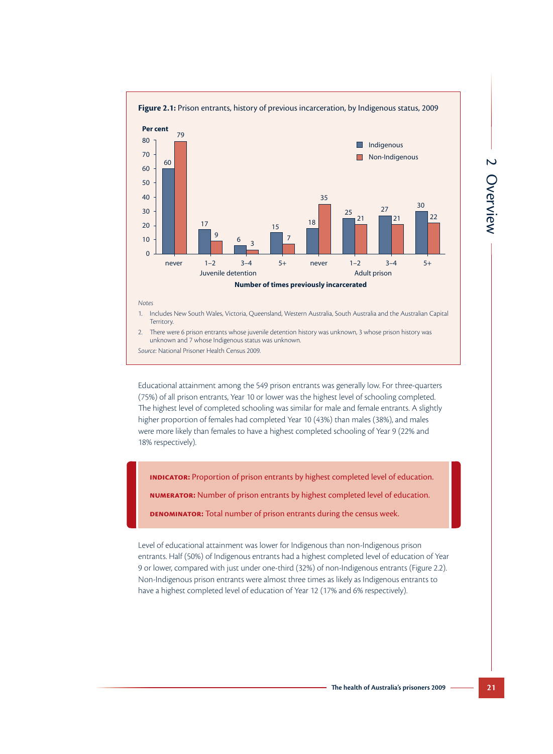

#### *Notes*

- 1. Includes New South Wales, Victoria, Queensland, Western Australia, South Australia and the Australian Capital Territory.
- 2. There were 6 prison entrants whose juvenile detention history was unknown, 3 whose prison history was unknown and 7 whose Indigenous status was unknown.

*Source:* National Prisoner Health Census 2009.

Educational attainment among the 549 prison entrants was generally low. For three-quarters (75%) of all prison entrants, Year 10 or lower was the highest level of schooling completed. The highest level of completed schooling was similar for male and female entrants. A slightly higher proportion of females had completed Year 10 (43%) than males (38%), and males were more likely than females to have a highest completed schooling of Year 9 (22% and 18% respectively).

**Indicator:** Proportion of prison entrants by highest completed level of education.

**Numerator:** Number of prison entrants by highest completed level of education.

**Denominator:** Total number of prison entrants during the census week.

Level of educational attainment was lower for Indigenous than non-Indigenous prison entrants. Half (50%) of Indigenous entrants had a highest completed level of education of Year 9 or lower, compared with just under one-third (32%) of non-Indigenous entrants (Figure 2.2). Non-Indigenous prison entrants were almost three times as likely as Indigenous entrants to have a highest completed level of education of Year 12 (17% and 6% respectively).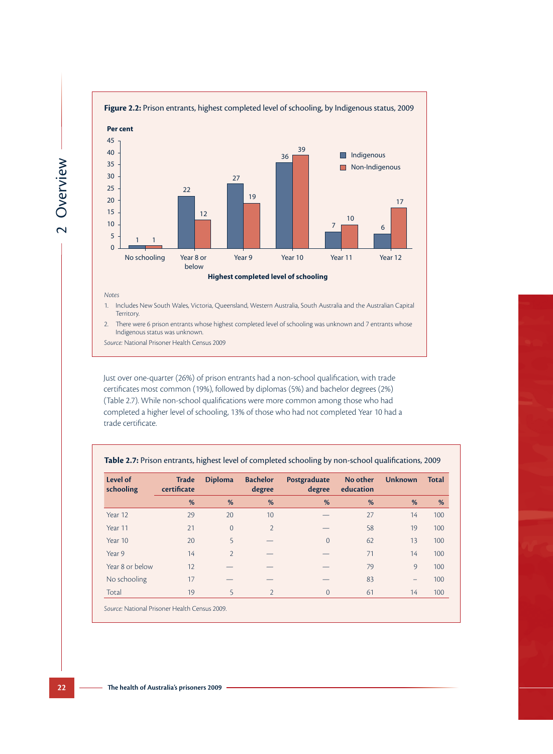

#### *Notes*

- 1. Includes New South Wales, Victoria, Queensland, Western Australia, South Australia and the Australian Capital Territory.
- 2. There were 6 prison entrants whose highest completed level of schooling was unknown and 7 entrants whose Indigenous status was unknown.

*Source:* National Prisoner Health Census 2009

Just over one-quarter (26%) of prison entrants had a non-school qualification, with trade certificates most common (19%), followed by diplomas (5%) and bachelor degrees (2%) (Table 2.7). While non-school qualifications were more common among those who had completed a higher level of schooling, 13% of those who had not completed Year 10 had a trade certificate.

| Level of<br>schooling | <b>Trade</b><br>certificate | <b>Diploma</b> | <b>Bachelor</b><br>degree | Postgraduate<br>degree | No other<br>education | <b>Unknown</b> | <b>Total</b> |
|-----------------------|-----------------------------|----------------|---------------------------|------------------------|-----------------------|----------------|--------------|
|                       | %                           | %              | %                         | %                      | %                     | %              | %            |
| Year 12               | 29                          | 20             | 10                        |                        | 27                    | 14             | 100          |
| Year 11               | 21                          | $\overline{0}$ | $\overline{2}$            |                        | 58                    | 19             | 100          |
| Year 10               | 20                          | 5              |                           | $\Omega$               | 62                    | 13             | 100          |
| Year 9                | 14                          | $\overline{2}$ |                           |                        | 71                    | 14             | 100          |
| Year 8 or below       | 12                          |                |                           |                        | 79                    | 9              | 100          |
| No schooling          | 17                          |                |                           |                        | 83                    |                | 100          |
| Total                 | 19                          | 5              | $\overline{2}$            | $\overline{0}$         | 61                    | 14             | 100          |

**Table 2.7:** Prison entrants, highest level of completed schooling by non-school qualifications, 2009

*Source:* National Prisoner Health Census 2009.